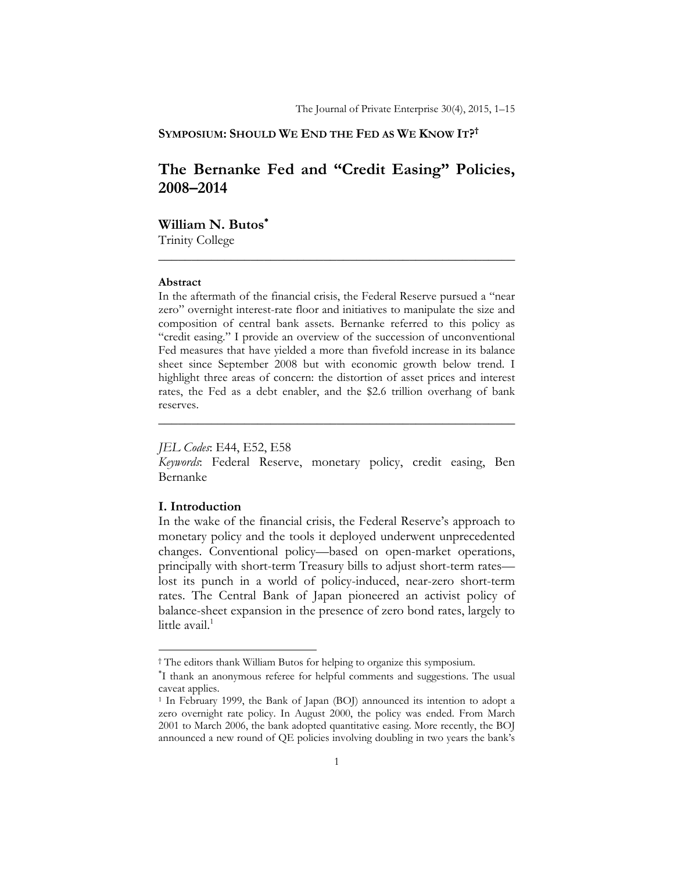## **SYMPOSIUM: SHOULD WE END THE FED AS WE KNOW IT?†**

# **The Bernanke Fed and "Credit Easing" Policies, 2008–2014**

**\_\_\_\_\_\_\_\_\_\_\_\_\_\_\_\_\_\_\_\_\_\_\_\_\_\_\_\_\_\_\_\_\_\_\_\_\_\_\_\_\_\_\_\_\_\_\_\_\_\_\_\_\_\_** 

**William N. Butos**

Trinity College

#### **Abstract**

In the aftermath of the financial crisis, the Federal Reserve pursued a "near zero" overnight interest-rate floor and initiatives to manipulate the size and composition of central bank assets. Bernanke referred to this policy as "credit easing." I provide an overview of the succession of unconventional Fed measures that have yielded a more than fivefold increase in its balance sheet since September 2008 but with economic growth below trend. I highlight three areas of concern: the distortion of asset prices and interest rates, the Fed as a debt enabler, and the \$2.6 trillion overhang of bank reserves.

### *JEL Codes*: E44, E52, E58

*Keywords*: Federal Reserve, monetary policy, credit easing, Ben Bernanke

**\_\_\_\_\_\_\_\_\_\_\_\_\_\_\_\_\_\_\_\_\_\_\_\_\_\_\_\_\_\_\_\_\_\_\_\_\_\_\_\_\_\_\_\_\_\_\_\_\_\_\_\_\_\_** 

### **I. Introduction**

In the wake of the financial crisis, the Federal Reserve's approach to monetary policy and the tools it deployed underwent unprecedented changes. Conventional policy—based on open-market operations, principally with short-term Treasury bills to adjust short-term rates lost its punch in a world of policy-induced, near-zero short-term rates. The Central Bank of Japan pioneered an activist policy of balance-sheet expansion in the presence of zero bond rates, largely to little avail. $1$ 

<sup>†</sup> The editors thank William Butos for helping to organize this symposium.

I thank an anonymous referee for helpful comments and suggestions. The usual caveat applies.

<sup>&</sup>lt;sup>1</sup> In February 1999, the Bank of Japan (BOJ) announced its intention to adopt a zero overnight rate policy. In August 2000, the policy was ended. From March 2001 to March 2006, the bank adopted quantitative easing. More recently, the BOJ announced a new round of QE policies involving doubling in two years the bank's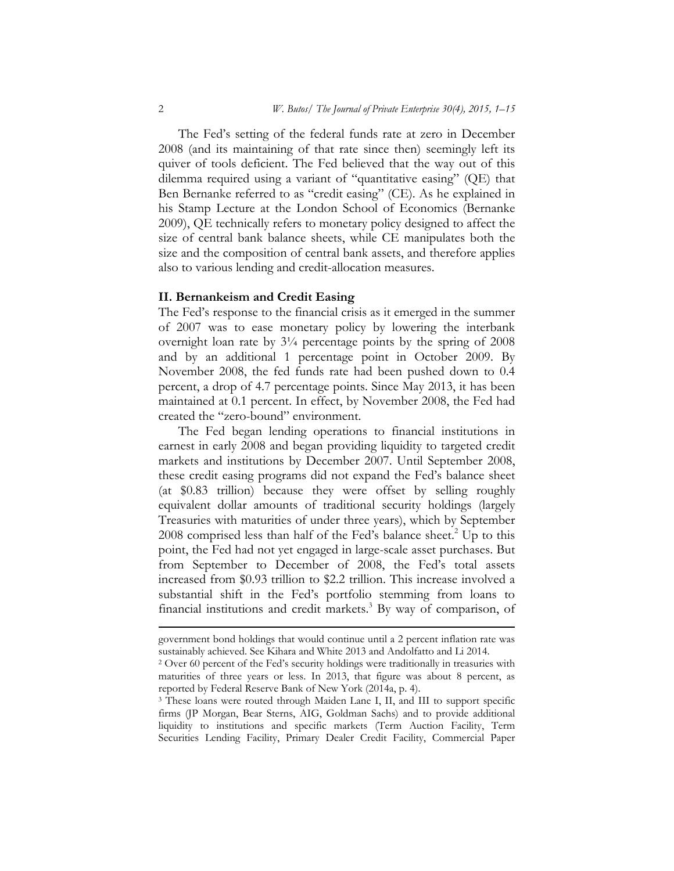The Fed's setting of the federal funds rate at zero in December 2008 (and its maintaining of that rate since then) seemingly left its quiver of tools deficient. The Fed believed that the way out of this dilemma required using a variant of "quantitative easing" (QE) that Ben Bernanke referred to as "credit easing" (CE). As he explained in his Stamp Lecture at the London School of Economics (Bernanke 2009), QE technically refers to monetary policy designed to affect the size of central bank balance sheets, while CE manipulates both the size and the composition of central bank assets, and therefore applies also to various lending and credit-allocation measures.

### **II. Bernankeism and Credit Easing**

The Fed's response to the financial crisis as it emerged in the summer of 2007 was to ease monetary policy by lowering the interbank overnight loan rate by  $3\frac{1}{4}$  percentage points by the spring of 2008 and by an additional 1 percentage point in October 2009. By November 2008, the fed funds rate had been pushed down to 0.4 percent, a drop of 4.7 percentage points. Since May 2013, it has been maintained at 0.1 percent. In effect, by November 2008, the Fed had created the "zero-bound" environment.

The Fed began lending operations to financial institutions in earnest in early 2008 and began providing liquidity to targeted credit markets and institutions by December 2007. Until September 2008, these credit easing programs did not expand the Fed's balance sheet (at \$0.83 trillion) because they were offset by selling roughly equivalent dollar amounts of traditional security holdings (largely Treasuries with maturities of under three years), which by September 2008 comprised less than half of the Fed's balance sheet.<sup>2</sup> Up to this point, the Fed had not yet engaged in large-scale asset purchases. But from September to December of 2008, the Fed's total assets increased from \$0.93 trillion to \$2.2 trillion. This increase involved a substantial shift in the Fed's portfolio stemming from loans to financial institutions and credit markets.<sup>3</sup> By way of comparison, of

<sup>&</sup>lt;u> 1989 - Johann Stein, marwolaethau a bhann an t-Amhain Aonaichte ann an t-Amhain Aonaichte ann an t-Amhain Aon</u> government bond holdings that would continue until a 2 percent inflation rate was sustainably achieved. See Kihara and White 2013 and Andolfatto and Li 2014. 2 Over 60 percent of the Fed's security holdings were traditionally in treasuries with

maturities of three years or less. In 2013, that figure was about 8 percent, as reported by Federal Reserve Bank of New York (2014a, p. 4).

<sup>3</sup> These loans were routed through Maiden Lane I, II, and III to support specific firms (JP Morgan, Bear Sterns, AIG, Goldman Sachs) and to provide additional liquidity to institutions and specific markets (Term Auction Facility, Term Securities Lending Facility, Primary Dealer Credit Facility, Commercial Paper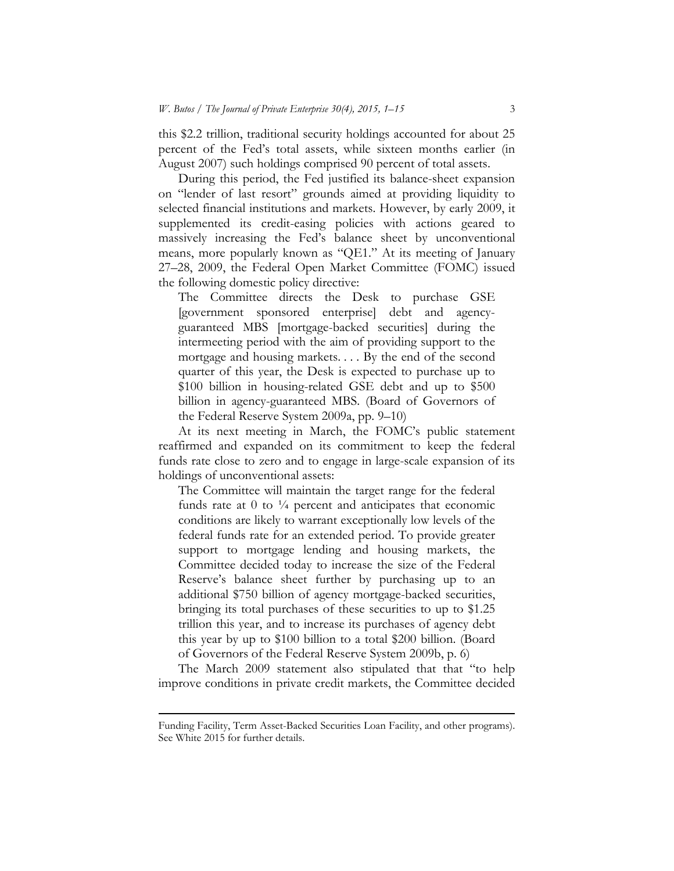this \$2.2 trillion, traditional security holdings accounted for about 25 percent of the Fed's total assets, while sixteen months earlier (in August 2007) such holdings comprised 90 percent of total assets.

During this period, the Fed justified its balance-sheet expansion on "lender of last resort" grounds aimed at providing liquidity to selected financial institutions and markets. However, by early 2009, it supplemented its credit-easing policies with actions geared to massively increasing the Fed's balance sheet by unconventional means, more popularly known as "QE1." At its meeting of January 27–28, 2009, the Federal Open Market Committee (FOMC) issued the following domestic policy directive:

The Committee directs the Desk to purchase GSE [government sponsored enterprise] debt and agencyguaranteed MBS [mortgage-backed securities] during the intermeeting period with the aim of providing support to the mortgage and housing markets. . . . By the end of the second quarter of this year, the Desk is expected to purchase up to \$100 billion in housing-related GSE debt and up to \$500 billion in agency-guaranteed MBS. (Board of Governors of the Federal Reserve System 2009a, pp. 9–10)

At its next meeting in March, the FOMC's public statement reaffirmed and expanded on its commitment to keep the federal funds rate close to zero and to engage in large-scale expansion of its holdings of unconventional assets:

The Committee will maintain the target range for the federal funds rate at  $0$  to  $\frac{1}{4}$  percent and anticipates that economic conditions are likely to warrant exceptionally low levels of the federal funds rate for an extended period. To provide greater support to mortgage lending and housing markets, the Committee decided today to increase the size of the Federal Reserve's balance sheet further by purchasing up to an additional \$750 billion of agency mortgage-backed securities, bringing its total purchases of these securities to up to \$1.25 trillion this year, and to increase its purchases of agency debt this year by up to \$100 billion to a total \$200 billion. (Board of Governors of the Federal Reserve System 2009b, p. 6)

The March 2009 statement also stipulated that that "to help improve conditions in private credit markets, the Committee decided

<sup>&</sup>lt;u> 1989 - Johann Stein, marwolaethau a bhann an t-Amhain Aonaichte ann an t-Amhain Aonaichte ann an t-Amhain Aon</u> Funding Facility, Term Asset-Backed Securities Loan Facility, and other programs). See White 2015 for further details.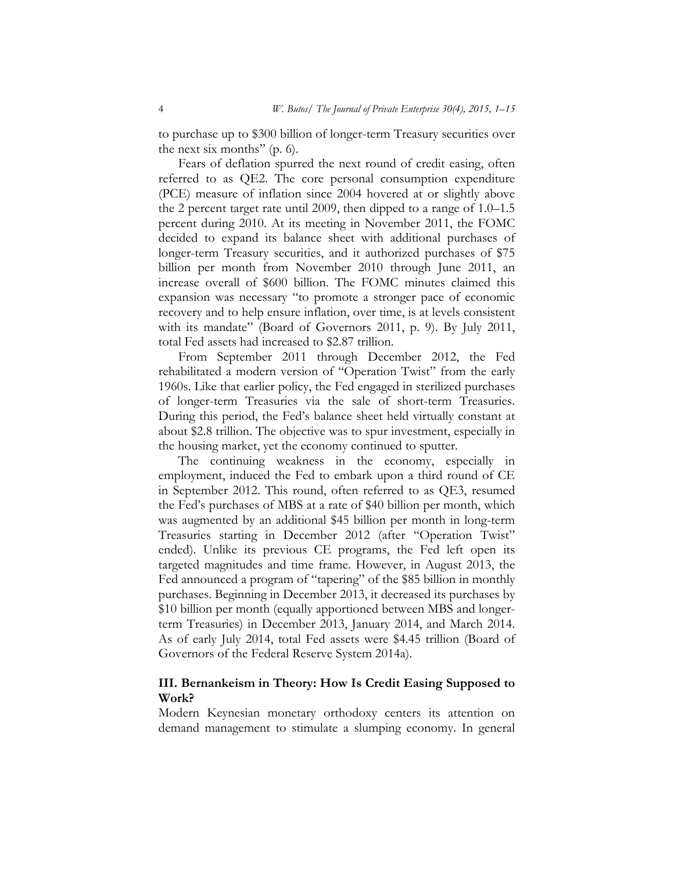to purchase up to \$300 billion of longer-term Treasury securities over the next six months" (p. 6).

Fears of deflation spurred the next round of credit easing, often referred to as QE2. The core personal consumption expenditure (PCE) measure of inflation since 2004 hovered at or slightly above the 2 percent target rate until 2009, then dipped to a range of 1.0–1.5 percent during 2010. At its meeting in November 2011, the FOMC decided to expand its balance sheet with additional purchases of longer-term Treasury securities, and it authorized purchases of \$75 billion per month from November 2010 through June 2011, an increase overall of \$600 billion. The FOMC minutes claimed this expansion was necessary "to promote a stronger pace of economic recovery and to help ensure inflation, over time, is at levels consistent with its mandate" (Board of Governors 2011, p. 9). By July 2011, total Fed assets had increased to \$2.87 trillion.

From September 2011 through December 2012, the Fed rehabilitated a modern version of "Operation Twist" from the early 1960s. Like that earlier policy, the Fed engaged in sterilized purchases of longer-term Treasuries via the sale of short-term Treasuries. During this period, the Fed's balance sheet held virtually constant at about \$2.8 trillion. The objective was to spur investment, especially in the housing market, yet the economy continued to sputter.

The continuing weakness in the economy, especially in employment, induced the Fed to embark upon a third round of CE in September 2012. This round, often referred to as QE3, resumed the Fed's purchases of MBS at a rate of \$40 billion per month, which was augmented by an additional \$45 billion per month in long-term Treasuries starting in December 2012 (after "Operation Twist" ended). Unlike its previous CE programs, the Fed left open its targeted magnitudes and time frame. However, in August 2013, the Fed announced a program of "tapering" of the \$85 billion in monthly purchases. Beginning in December 2013, it decreased its purchases by \$10 billion per month (equally apportioned between MBS and longerterm Treasuries) in December 2013, January 2014, and March 2014. As of early July 2014, total Fed assets were \$4.45 trillion (Board of Governors of the Federal Reserve System 2014a).

## **III. Bernankeism in Theory: How Is Credit Easing Supposed to Work?**

Modern Keynesian monetary orthodoxy centers its attention on demand management to stimulate a slumping economy. In general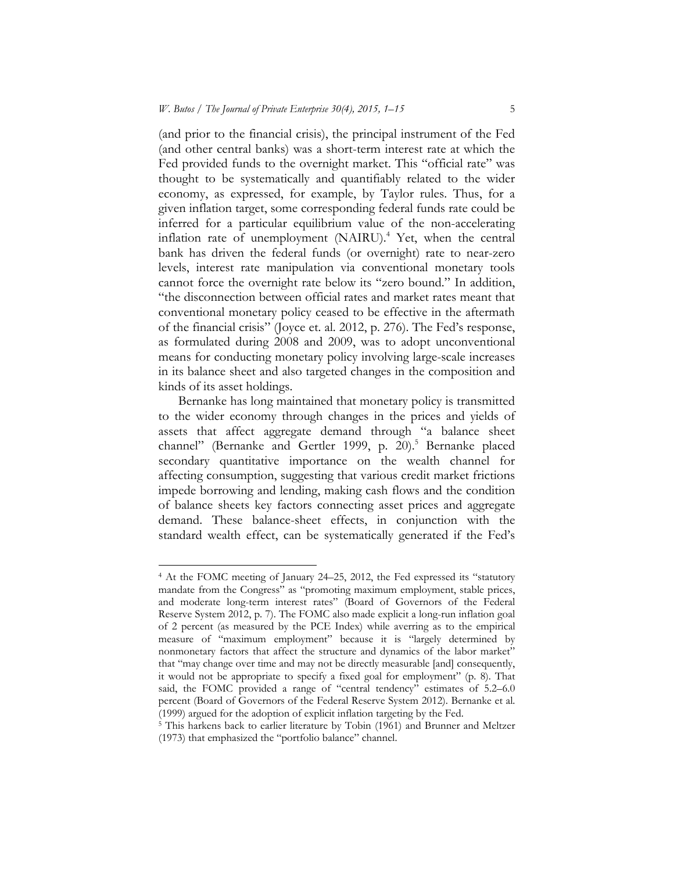(and prior to the financial crisis), the principal instrument of the Fed (and other central banks) was a short-term interest rate at which the Fed provided funds to the overnight market. This "official rate" was thought to be systematically and quantifiably related to the wider economy, as expressed, for example, by Taylor rules. Thus, for a given inflation target, some corresponding federal funds rate could be inferred for a particular equilibrium value of the non-accelerating inflation rate of unemployment (NAIRU).<sup>4</sup> Yet, when the central bank has driven the federal funds (or overnight) rate to near-zero levels, interest rate manipulation via conventional monetary tools cannot force the overnight rate below its "zero bound." In addition, "the disconnection between official rates and market rates meant that conventional monetary policy ceased to be effective in the aftermath of the financial crisis" (Joyce et. al. 2012, p. 276). The Fed's response, as formulated during 2008 and 2009, was to adopt unconventional means for conducting monetary policy involving large-scale increases in its balance sheet and also targeted changes in the composition and kinds of its asset holdings.

Bernanke has long maintained that monetary policy is transmitted to the wider economy through changes in the prices and yields of assets that affect aggregate demand through "a balance sheet channel" (Bernanke and Gertler 1999, p. 20).<sup>5</sup> Bernanke placed secondary quantitative importance on the wealth channel for affecting consumption, suggesting that various credit market frictions impede borrowing and lending, making cash flows and the condition of balance sheets key factors connecting asset prices and aggregate demand. These balance-sheet effects, in conjunction with the standard wealth effect, can be systematically generated if the Fed's

<sup>4</sup> At the FOMC meeting of January 24–25, 2012, the Fed expressed its "statutory mandate from the Congress" as "promoting maximum employment, stable prices, and moderate long-term interest rates" (Board of Governors of the Federal Reserve System 2012, p. 7). The FOMC also made explicit a long-run inflation goal of 2 percent (as measured by the PCE Index) while averring as to the empirical measure of "maximum employment" because it is "largely determined by nonmonetary factors that affect the structure and dynamics of the labor market" that "may change over time and may not be directly measurable [and] consequently, it would not be appropriate to specify a fixed goal for employment" (p. 8). That said, the FOMC provided a range of "central tendency" estimates of 5.2–6.0 percent (Board of Governors of the Federal Reserve System 2012). Bernanke et al. (1999) argued for the adoption of explicit inflation targeting by the Fed.  $5$  This harkens back to earlier literature by Tobin (1961) and Brunner and Meltzer

<sup>(1973)</sup> that emphasized the "portfolio balance" channel.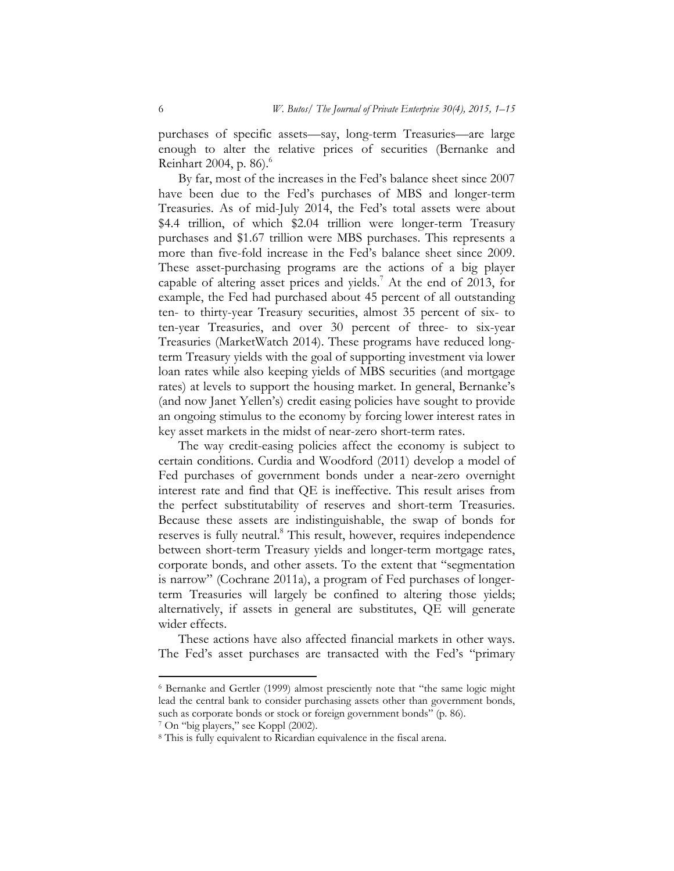purchases of specific assets—say, long-term Treasuries—are large enough to alter the relative prices of securities (Bernanke and Reinhart 2004, p. 86).<sup>6</sup>

By far, most of the increases in the Fed's balance sheet since 2007 have been due to the Fed's purchases of MBS and longer-term Treasuries. As of mid-July 2014, the Fed's total assets were about \$4.4 trillion, of which \$2.04 trillion were longer-term Treasury purchases and \$1.67 trillion were MBS purchases. This represents a more than five-fold increase in the Fed's balance sheet since 2009. These asset-purchasing programs are the actions of a big player capable of altering asset prices and yields.<sup>7</sup> At the end of 2013, for example, the Fed had purchased about 45 percent of all outstanding ten- to thirty-year Treasury securities, almost 35 percent of six- to ten-year Treasuries, and over 30 percent of three- to six-year Treasuries (MarketWatch 2014). These programs have reduced longterm Treasury yields with the goal of supporting investment via lower loan rates while also keeping yields of MBS securities (and mortgage rates) at levels to support the housing market. In general, Bernanke's (and now Janet Yellen's) credit easing policies have sought to provide an ongoing stimulus to the economy by forcing lower interest rates in key asset markets in the midst of near-zero short-term rates.

The way credit-easing policies affect the economy is subject to certain conditions. Curdia and Woodford (2011) develop a model of Fed purchases of government bonds under a near-zero overnight interest rate and find that QE is ineffective. This result arises from the perfect substitutability of reserves and short-term Treasuries. Because these assets are indistinguishable, the swap of bonds for reserves is fully neutral.<sup>8</sup> This result, however, requires independence between short-term Treasury yields and longer-term mortgage rates, corporate bonds, and other assets. To the extent that "segmentation is narrow" (Cochrane 2011a), a program of Fed purchases of longerterm Treasuries will largely be confined to altering those yields; alternatively, if assets in general are substitutes, QE will generate wider effects.

These actions have also affected financial markets in other ways. The Fed's asset purchases are transacted with the Fed's "primary

<sup>6</sup> Bernanke and Gertler (1999) almost presciently note that "the same logic might lead the central bank to consider purchasing assets other than government bonds, such as corporate bonds or stock or foreign government bonds" (p. 86).<br><sup>7</sup> On "big players," see Koppl (2002).

<sup>8</sup> This is fully equivalent to Ricardian equivalence in the fiscal arena.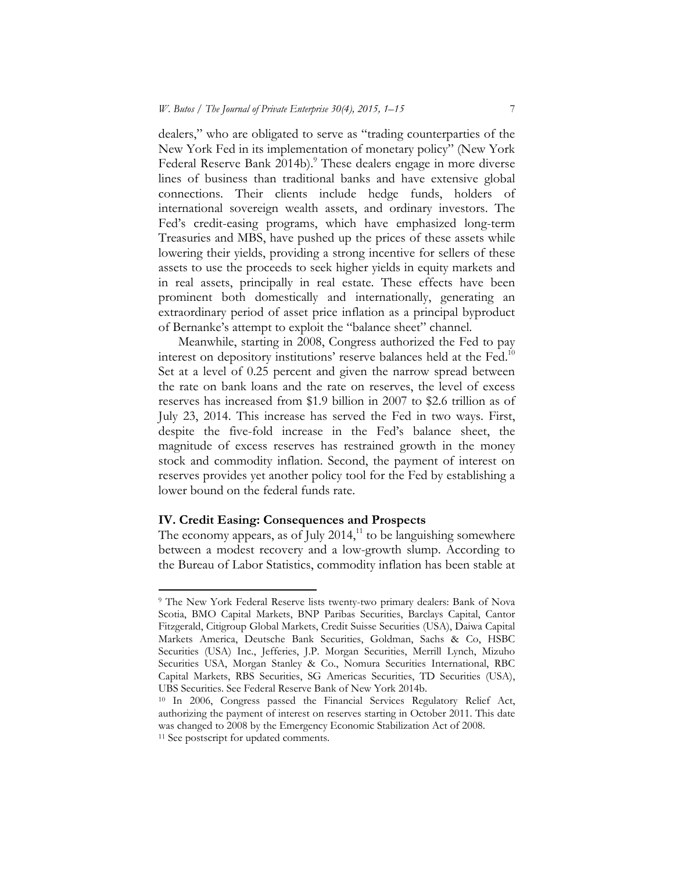dealers," who are obligated to serve as "trading counterparties of the New York Fed in its implementation of monetary policy" (New York Federal Reserve Bank 2014b).<sup>9</sup> These dealers engage in more diverse lines of business than traditional banks and have extensive global connections. Their clients include hedge funds, holders of international sovereign wealth assets, and ordinary investors. The Fed's credit-easing programs, which have emphasized long-term Treasuries and MBS, have pushed up the prices of these assets while lowering their yields, providing a strong incentive for sellers of these assets to use the proceeds to seek higher yields in equity markets and in real assets, principally in real estate. These effects have been prominent both domestically and internationally, generating an extraordinary period of asset price inflation as a principal byproduct of Bernanke's attempt to exploit the "balance sheet" channel.

Meanwhile, starting in 2008, Congress authorized the Fed to pay interest on depository institutions' reserve balances held at the Fed.<sup>10</sup> Set at a level of 0.25 percent and given the narrow spread between the rate on bank loans and the rate on reserves, the level of excess reserves has increased from \$1.9 billion in 2007 to \$2.6 trillion as of July 23, 2014. This increase has served the Fed in two ways. First, despite the five-fold increase in the Fed's balance sheet, the magnitude of excess reserves has restrained growth in the money stock and commodity inflation. Second, the payment of interest on reserves provides yet another policy tool for the Fed by establishing a lower bound on the federal funds rate.

## **IV. Credit Easing: Consequences and Prospects**

The economy appears, as of July 2014,<sup>11</sup> to be languishing somewhere between a modest recovery and a low-growth slump. According to the Bureau of Labor Statistics, commodity inflation has been stable at

<sup>9</sup> The New York Federal Reserve lists twenty-two primary dealers: Bank of Nova Scotia, BMO Capital Markets, BNP Paribas Securities, Barclays Capital, Cantor Fitzgerald, Citigroup Global Markets, Credit Suisse Securities (USA), Daiwa Capital Markets America, Deutsche Bank Securities, Goldman, Sachs & Co, HSBC Securities (USA) Inc., Jefferies, J.P. Morgan Securities, Merrill Lynch, Mizuho Securities USA, Morgan Stanley & Co., Nomura Securities International, RBC Capital Markets, RBS Securities, SG Americas Securities, TD Securities (USA), UBS Securities. See Federal Reserve Bank of New York 2014b. 10 In 2006, Congress passed the Financial Services Regulatory Relief Act,

authorizing the payment of interest on reserves starting in October 2011. This date was changed to 2008 by the Emergency Economic Stabilization Act of 2008.<br><sup>11</sup> See postscript for updated comments.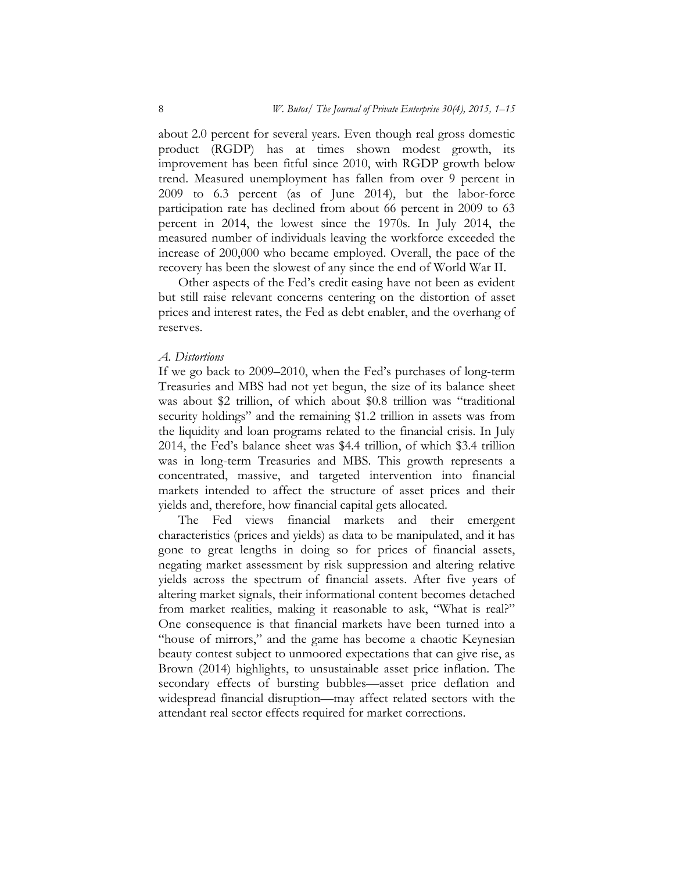about 2.0 percent for several years. Even though real gross domestic product (RGDP) has at times shown modest growth, its improvement has been fitful since 2010, with RGDP growth below trend. Measured unemployment has fallen from over 9 percent in 2009 to 6.3 percent (as of June 2014), but the labor-force participation rate has declined from about 66 percent in 2009 to 63 percent in 2014, the lowest since the 1970s. In July 2014, the measured number of individuals leaving the workforce exceeded the increase of 200,000 who became employed. Overall, the pace of the recovery has been the slowest of any since the end of World War II.

Other aspects of the Fed's credit easing have not been as evident but still raise relevant concerns centering on the distortion of asset prices and interest rates, the Fed as debt enabler, and the overhang of reserves.

### *A. Distortions*

If we go back to 2009–2010, when the Fed's purchases of long-term Treasuries and MBS had not yet begun, the size of its balance sheet was about \$2 trillion, of which about \$0.8 trillion was "traditional security holdings" and the remaining \$1.2 trillion in assets was from the liquidity and loan programs related to the financial crisis. In July 2014, the Fed's balance sheet was \$4.4 trillion, of which \$3.4 trillion was in long-term Treasuries and MBS. This growth represents a concentrated, massive, and targeted intervention into financial markets intended to affect the structure of asset prices and their yields and, therefore, how financial capital gets allocated.

The Fed views financial markets and their emergent characteristics (prices and yields) as data to be manipulated, and it has gone to great lengths in doing so for prices of financial assets, negating market assessment by risk suppression and altering relative yields across the spectrum of financial assets. After five years of altering market signals, their informational content becomes detached from market realities, making it reasonable to ask, "What is real?" One consequence is that financial markets have been turned into a "house of mirrors," and the game has become a chaotic Keynesian beauty contest subject to unmoored expectations that can give rise, as Brown (2014) highlights, to unsustainable asset price inflation. The secondary effects of bursting bubbles—asset price deflation and widespread financial disruption—may affect related sectors with the attendant real sector effects required for market corrections.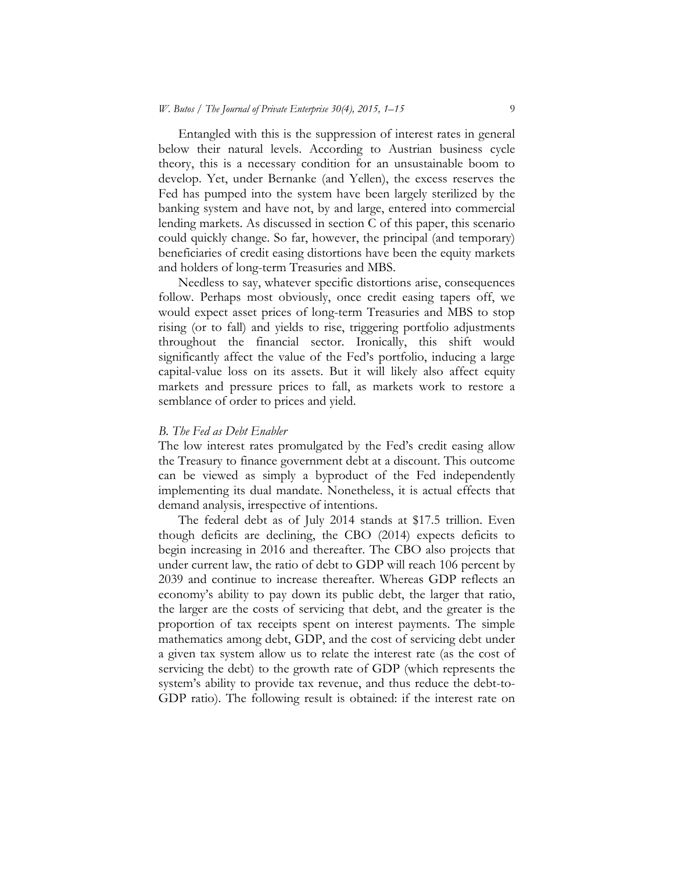Entangled with this is the suppression of interest rates in general below their natural levels. According to Austrian business cycle theory, this is a necessary condition for an unsustainable boom to develop. Yet, under Bernanke (and Yellen), the excess reserves the Fed has pumped into the system have been largely sterilized by the banking system and have not, by and large, entered into commercial lending markets. As discussed in section  $\widetilde{C}$  of this paper, this scenario could quickly change. So far, however, the principal (and temporary) beneficiaries of credit easing distortions have been the equity markets and holders of long-term Treasuries and MBS.

Needless to say, whatever specific distortions arise, consequences follow. Perhaps most obviously, once credit easing tapers off, we would expect asset prices of long-term Treasuries and MBS to stop rising (or to fall) and yields to rise, triggering portfolio adjustments throughout the financial sector. Ironically, this shift would significantly affect the value of the Fed's portfolio, inducing a large capital-value loss on its assets. But it will likely also affect equity markets and pressure prices to fall, as markets work to restore a semblance of order to prices and yield.

#### *B. The Fed as Debt Enabler*

The low interest rates promulgated by the Fed's credit easing allow the Treasury to finance government debt at a discount. This outcome can be viewed as simply a byproduct of the Fed independently implementing its dual mandate. Nonetheless, it is actual effects that demand analysis, irrespective of intentions.

The federal debt as of July 2014 stands at \$17.5 trillion. Even though deficits are declining, the CBO (2014) expects deficits to begin increasing in 2016 and thereafter. The CBO also projects that under current law, the ratio of debt to GDP will reach 106 percent by 2039 and continue to increase thereafter. Whereas GDP reflects an economy's ability to pay down its public debt, the larger that ratio, the larger are the costs of servicing that debt, and the greater is the proportion of tax receipts spent on interest payments. The simple mathematics among debt, GDP, and the cost of servicing debt under a given tax system allow us to relate the interest rate (as the cost of servicing the debt) to the growth rate of GDP (which represents the system's ability to provide tax revenue, and thus reduce the debt-to-GDP ratio). The following result is obtained: if the interest rate on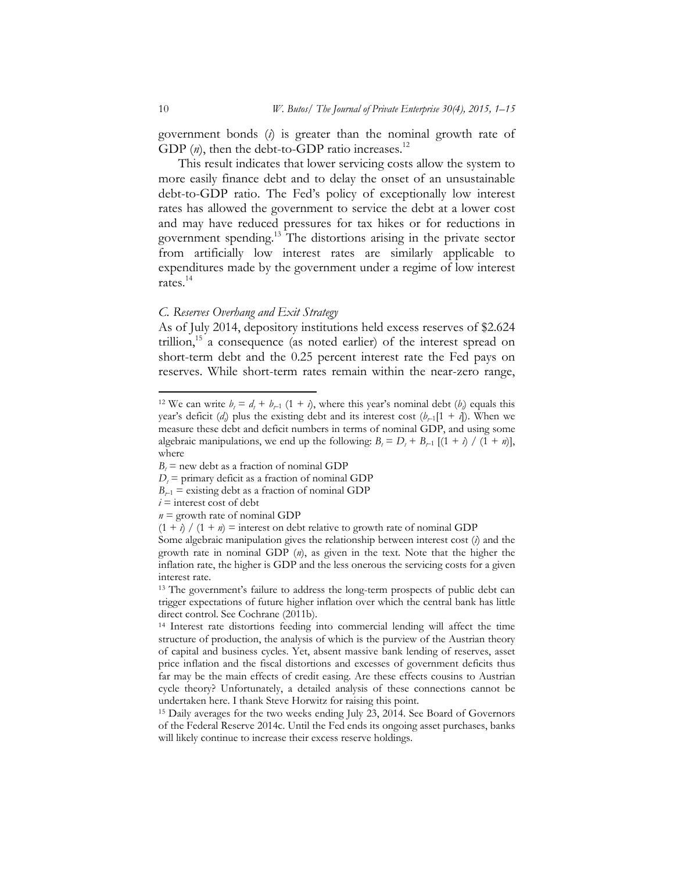government bonds (*i*) is greater than the nominal growth rate of GDP (*n*), then the debt-to-GDP ratio increases.<sup>12</sup>

This result indicates that lower servicing costs allow the system to more easily finance debt and to delay the onset of an unsustainable debt-to-GDP ratio. The Fed's policy of exceptionally low interest rates has allowed the government to service the debt at a lower cost and may have reduced pressures for tax hikes or for reductions in government spending.13 The distortions arising in the private sector from artificially low interest rates are similarly applicable to expenditures made by the government under a regime of low interest rates.14

#### *C. Reserves Overhang and Exit Strategy*

As of July 2014, depository institutions held excess reserves of \$2.624 trillion,<sup>15</sup> a consequence (as noted earlier) of the interest spread on short-term debt and the 0.25 percent interest rate the Fed pays on reserves. While short-term rates remain within the near-zero range,

- $B_{t-1}$  = existing debt as a fraction of nominal GDP
- $i =$  interest cost of debt

<sup>&</sup>lt;sup>12</sup> We can write  $b_i = d_i + b_{i-1} (1 + i)$ , where this year's nominal debt  $(b_i)$  equals this year's deficit  $(d_i)$  plus the existing debt and its interest cost  $(b_{r-1}[1 + i])$ . When we measure these debt and deficit numbers in terms of nominal GDP, and using some algebraic manipulations, we end up the following:  $B_t = D_t + B_{t-1} [(1 + t) / (1 + n)],$ where

 $B_t$  = new debt as a fraction of nominal GDP

 $D_t$  = primary deficit as a fraction of nominal GDP

 $n =$  growth rate of nominal GDP

 $(1 + i) / (1 + n)$  = interest on debt relative to growth rate of nominal GDP

Some algebraic manipulation gives the relationship between interest cost (*i*) and the growth rate in nominal GDP (*n*), as given in the text. Note that the higher the inflation rate, the higher is GDP and the less onerous the servicing costs for a given interest rate.

<sup>13</sup> The government's failure to address the long-term prospects of public debt can trigger expectations of future higher inflation over which the central bank has little direct control. See Cochrane (2011b).

<sup>14</sup> Interest rate distortions feeding into commercial lending will affect the time structure of production, the analysis of which is the purview of the Austrian theory of capital and business cycles. Yet, absent massive bank lending of reserves, asset price inflation and the fiscal distortions and excesses of government deficits thus far may be the main effects of credit easing. Are these effects cousins to Austrian cycle theory? Unfortunately, a detailed analysis of these connections cannot be undertaken here. I thank Steve Horwitz for raising this point.

<sup>&</sup>lt;sup>15</sup> Daily averages for the two weeks ending July 23, 2014. See Board of Governors of the Federal Reserve 2014c. Until the Fed ends its ongoing asset purchases, banks will likely continue to increase their excess reserve holdings.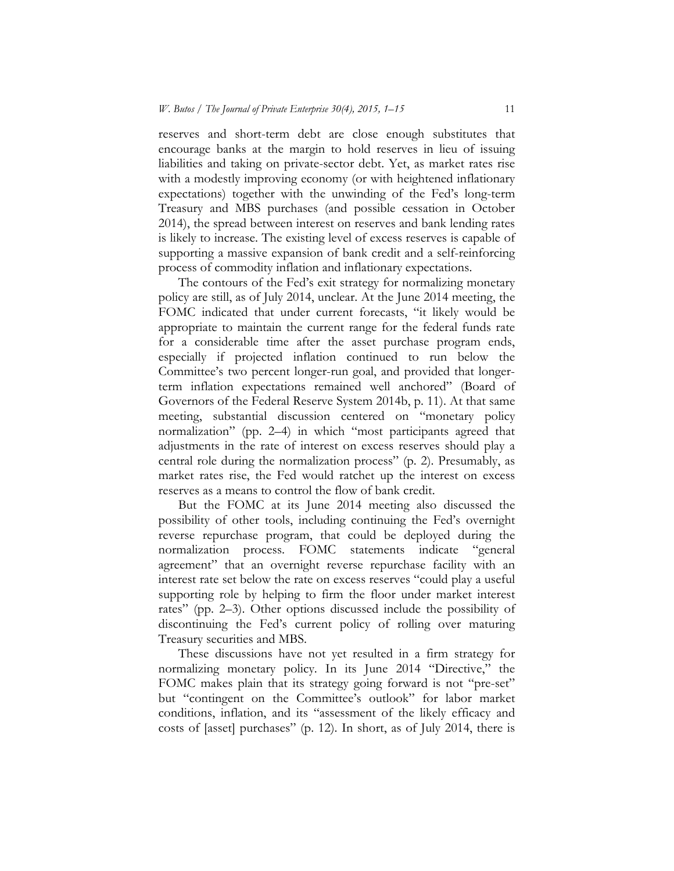reserves and short-term debt are close enough substitutes that encourage banks at the margin to hold reserves in lieu of issuing liabilities and taking on private-sector debt. Yet, as market rates rise with a modestly improving economy (or with heightened inflationary expectations) together with the unwinding of the Fed's long-term Treasury and MBS purchases (and possible cessation in October 2014), the spread between interest on reserves and bank lending rates is likely to increase. The existing level of excess reserves is capable of supporting a massive expansion of bank credit and a self-reinforcing process of commodity inflation and inflationary expectations.

The contours of the Fed's exit strategy for normalizing monetary policy are still, as of July 2014, unclear. At the June 2014 meeting, the FOMC indicated that under current forecasts, "it likely would be appropriate to maintain the current range for the federal funds rate for a considerable time after the asset purchase program ends, especially if projected inflation continued to run below the Committee's two percent longer-run goal, and provided that longerterm inflation expectations remained well anchored" (Board of Governors of the Federal Reserve System 2014b, p. 11). At that same meeting, substantial discussion centered on "monetary policy normalization" (pp. 2–4) in which "most participants agreed that adjustments in the rate of interest on excess reserves should play a central role during the normalization process" (p. 2). Presumably, as market rates rise, the Fed would ratchet up the interest on excess reserves as a means to control the flow of bank credit.

But the FOMC at its June 2014 meeting also discussed the possibility of other tools, including continuing the Fed's overnight reverse repurchase program, that could be deployed during the normalization process. FOMC statements indicate "general normalization process. FOMC statements indicate agreement" that an overnight reverse repurchase facility with an interest rate set below the rate on excess reserves "could play a useful supporting role by helping to firm the floor under market interest rates" (pp. 2–3). Other options discussed include the possibility of discontinuing the Fed's current policy of rolling over maturing Treasury securities and MBS.

These discussions have not yet resulted in a firm strategy for normalizing monetary policy. In its June 2014 "Directive," the FOMC makes plain that its strategy going forward is not "pre-set" but "contingent on the Committee's outlook" for labor market conditions, inflation, and its "assessment of the likely efficacy and costs of [asset] purchases" (p. 12). In short, as of July 2014, there is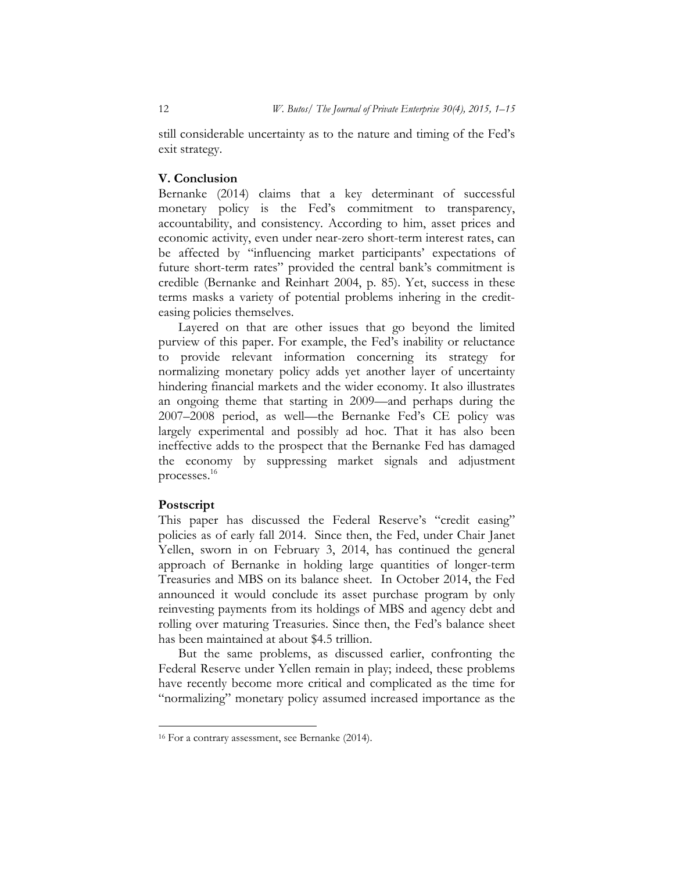still considerable uncertainty as to the nature and timing of the Fed's exit strategy.

## **V. Conclusion**

Bernanke (2014) claims that a key determinant of successful monetary policy is the Fed's commitment to transparency, accountability, and consistency. According to him, asset prices and economic activity, even under near-zero short-term interest rates, can be affected by "influencing market participants' expectations of future short-term rates" provided the central bank's commitment is credible (Bernanke and Reinhart 2004, p. 85). Yet, success in these terms masks a variety of potential problems inhering in the crediteasing policies themselves.

Layered on that are other issues that go beyond the limited purview of this paper. For example, the Fed's inability or reluctance to provide relevant information concerning its strategy for normalizing monetary policy adds yet another layer of uncertainty hindering financial markets and the wider economy. It also illustrates an ongoing theme that starting in 2009—and perhaps during the 2007–2008 period, as well—the Bernanke Fed's CE policy was largely experimental and possibly ad hoc. That it has also been ineffective adds to the prospect that the Bernanke Fed has damaged the economy by suppressing market signals and adjustment processes.16

## **Postscript**

This paper has discussed the Federal Reserve's "credit easing" policies as of early fall 2014. Since then, the Fed, under Chair Janet Yellen, sworn in on February 3, 2014, has continued the general approach of Bernanke in holding large quantities of longer-term Treasuries and MBS on its balance sheet. In October 2014, the Fed announced it would conclude its asset purchase program by only reinvesting payments from its holdings of MBS and agency debt and rolling over maturing Treasuries. Since then, the Fed's balance sheet has been maintained at about \$4.5 trillion.

But the same problems, as discussed earlier, confronting the Federal Reserve under Yellen remain in play; indeed, these problems have recently become more critical and complicated as the time for "normalizing" monetary policy assumed increased importance as the

<sup>16</sup> For a contrary assessment, see Bernanke (2014).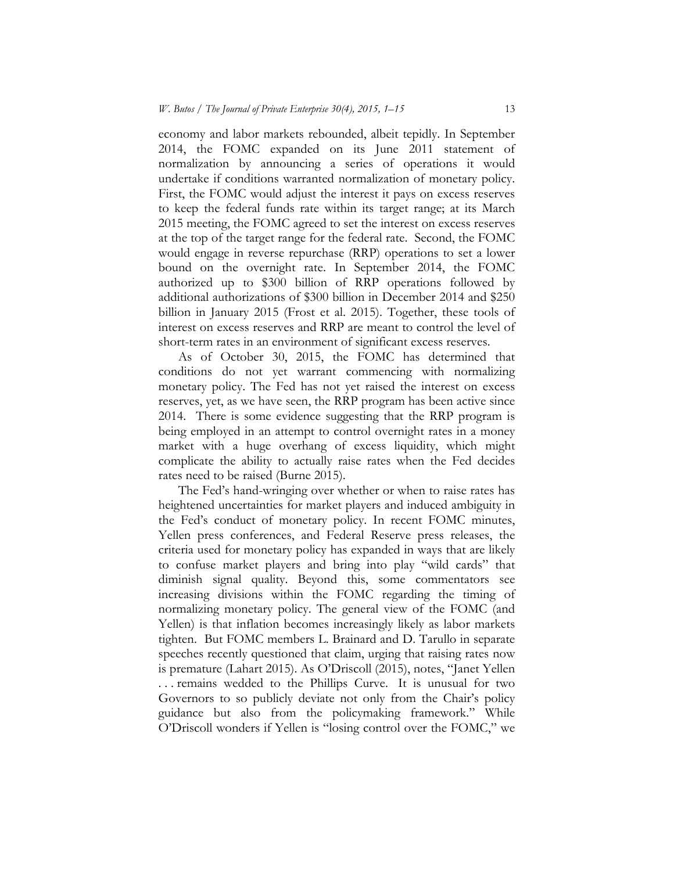economy and labor markets rebounded, albeit tepidly. In September 2014, the FOMC expanded on its June 2011 statement of normalization by announcing a series of operations it would undertake if conditions warranted normalization of monetary policy. First, the FOMC would adjust the interest it pays on excess reserves to keep the federal funds rate within its target range; at its March 2015 meeting, the FOMC agreed to set the interest on excess reserves at the top of the target range for the federal rate. Second, the FOMC would engage in reverse repurchase (RRP) operations to set a lower bound on the overnight rate. In September 2014, the FOMC authorized up to \$300 billion of RRP operations followed by additional authorizations of \$300 billion in December 2014 and \$250 billion in January 2015 (Frost et al. 2015). Together, these tools of interest on excess reserves and RRP are meant to control the level of short-term rates in an environment of significant excess reserves.

As of October 30, 2015, the FOMC has determined that conditions do not yet warrant commencing with normalizing monetary policy. The Fed has not yet raised the interest on excess reserves, yet, as we have seen, the RRP program has been active since 2014. There is some evidence suggesting that the RRP program is being employed in an attempt to control overnight rates in a money market with a huge overhang of excess liquidity, which might complicate the ability to actually raise rates when the Fed decides rates need to be raised (Burne 2015).

The Fed's hand-wringing over whether or when to raise rates has heightened uncertainties for market players and induced ambiguity in the Fed's conduct of monetary policy. In recent FOMC minutes, Yellen press conferences, and Federal Reserve press releases, the criteria used for monetary policy has expanded in ways that are likely to confuse market players and bring into play "wild cards" that diminish signal quality. Beyond this, some commentators see increasing divisions within the FOMC regarding the timing of normalizing monetary policy. The general view of the FOMC (and Yellen) is that inflation becomes increasingly likely as labor markets tighten. But FOMC members L. Brainard and D. Tarullo in separate speeches recently questioned that claim, urging that raising rates now is premature (Lahart 2015). As O'Driscoll (2015), notes, "Janet Yellen . . . remains wedded to the Phillips Curve. It is unusual for two Governors to so publicly deviate not only from the Chair's policy guidance but also from the policymaking framework." While O'Driscoll wonders if Yellen is "losing control over the FOMC," we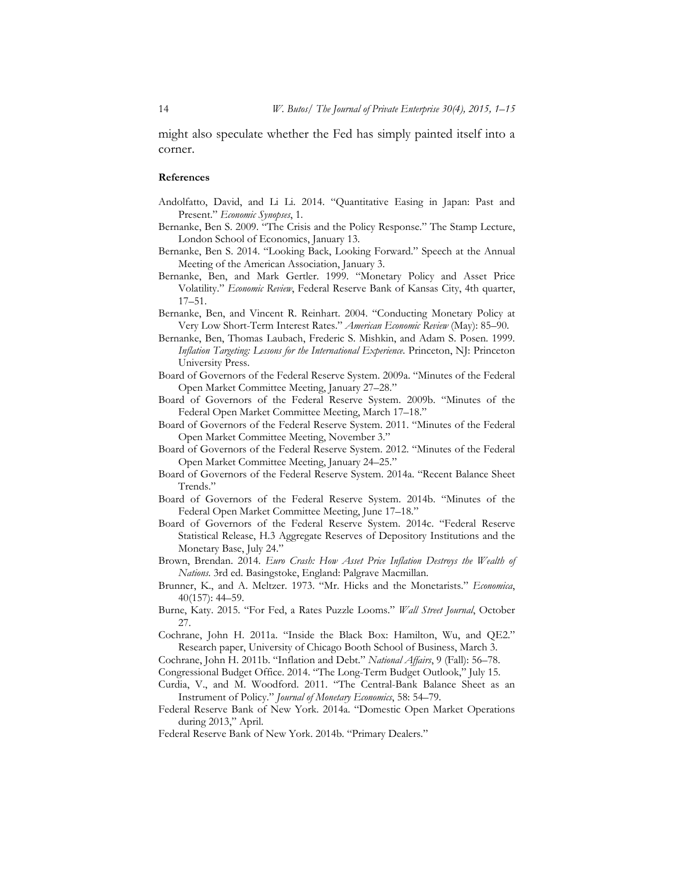might also speculate whether the Fed has simply painted itself into a corner.

#### **References**

- Andolfatto, David, and Li Li. 2014. "Quantitative Easing in Japan: Past and Present." *Economic Synopses*, 1.
- Bernanke, Ben S. 2009. "The Crisis and the Policy Response." The Stamp Lecture, London School of Economics, January 13.
- Bernanke, Ben S. 2014. "Looking Back, Looking Forward." Speech at the Annual Meeting of the American Association, January 3.
- Bernanke, Ben, and Mark Gertler. 1999. "Monetary Policy and Asset Price Volatility." *Economic Review*, Federal Reserve Bank of Kansas City, 4th quarter, 17–51.
- Bernanke, Ben, and Vincent R. Reinhart. 2004. "Conducting Monetary Policy at Very Low Short-Term Interest Rates." *American Economic Review* (May): 85–90.
- Bernanke, Ben, Thomas Laubach, Frederic S. Mishkin, and Adam S. Posen. 1999. *Inflation Targeting: Lessons for the International Experience*. Princeton, NJ: Princeton University Press.
- Board of Governors of the Federal Reserve System. 2009a. "Minutes of the Federal Open Market Committee Meeting, January 27–28."
- Board of Governors of the Federal Reserve System. 2009b. "Minutes of the Federal Open Market Committee Meeting, March 17–18."
- Board of Governors of the Federal Reserve System. 2011. "Minutes of the Federal Open Market Committee Meeting, November 3."
- Board of Governors of the Federal Reserve System. 2012. "Minutes of the Federal Open Market Committee Meeting, January 24–25."
- Board of Governors of the Federal Reserve System. 2014a. "Recent Balance Sheet Trends."
- Board of Governors of the Federal Reserve System. 2014b. "Minutes of the Federal Open Market Committee Meeting, June 17–18."
- Board of Governors of the Federal Reserve System. 2014c. "Federal Reserve Statistical Release, H.3 Aggregate Reserves of Depository Institutions and the Monetary Base, July 24."
- Brown, Brendan. 2014. *Euro Crash: How Asset Price Inflation Destroys the Wealth of Nations.* 3rd ed. Basingstoke, England: Palgrave Macmillan.
- Brunner, K., and A. Meltzer. 1973. "Mr. Hicks and the Monetarists." *Economica*, 40(157): 44–59.
- Burne, Katy. 2015. "For Fed, a Rates Puzzle Looms." *Wall Street Journal*, October 27.
- Cochrane, John H. 2011a. "Inside the Black Box: Hamilton, Wu, and QE2." Research paper, University of Chicago Booth School of Business, March 3.
- Cochrane, John H. 2011b. "Inflation and Debt." *National Affairs*, 9 (Fall): 56–78.
- Congressional Budget Office. 2014. "The Long-Term Budget Outlook," July 15.
- Curdia, V., and M. Woodford. 2011. "The Central-Bank Balance Sheet as an Instrument of Policy." *Journal of Monetary Economics*, 58: 54–79.
- Federal Reserve Bank of New York. 2014a. "Domestic Open Market Operations during 2013," April.
- Federal Reserve Bank of New York. 2014b. "Primary Dealers."